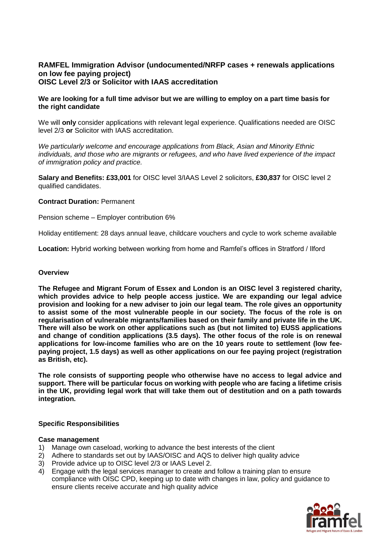# **RAMFEL Immigration Advisor (undocumented/NRFP cases + renewals applications on low fee paying project) OISC Level 2/3 or Solicitor with IAAS accreditation**

## **We are looking for a full time advisor but we are willing to employ on a part time basis for the right candidate**

We will **only** consider applications with relevant legal experience. Qualifications needed are OISC level 2/3 **or** Solicitor with IAAS accreditation.

*We particularly welcome and encourage applications from Black, Asian and Minority Ethnic individuals, and those who are migrants or refugees, and who have lived experience of the impact of immigration policy and practice.* 

**Salary and Benefits: £33,001** for OISC level 3/IAAS Level 2 solicitors, **£30,837** for OISC level 2 qualified candidates.

### **Contract Duration:** Permanent

Pension scheme – Employer contribution 6%

Holiday entitlement: 28 days annual leave, childcare vouchers and cycle to work scheme available

**Location:** Hybrid working between working from home and Ramfel's offices in Stratford / Ilford

### **Overview**

**The Refugee and Migrant Forum of Essex and London is an OISC level 3 registered charity, which provides advice to help people access justice. We are expanding our legal advice provision and looking for a new adviser to join our legal team. The role gives an opportunity to assist some of the most vulnerable people in our society. The focus of the role is on regularisation of vulnerable migrants/families based on their family and private life in the UK. There will also be work on other applications such as (but not limited to) EUSS applications and change of condition applications (3.5 days). The other focus of the role is on renewal applications for low-income families who are on the 10 years route to settlement (low feepaying project, 1.5 days) as well as other applications on our fee paying project (registration as British, etc).**

**The role consists of supporting people who otherwise have no access to legal advice and support. There will be particular focus on working with people who are facing a lifetime crisis in the UK, providing legal work that will take them out of destitution and on a path towards integration.**

#### **Specific Responsibilities**

#### **Case management**

- 1) Manage own caseload, working to advance the best interests of the client
- 2) Adhere to standards set out by IAAS/OISC and AQS to deliver high quality advice
- 3) Provide advice up to OISC level 2/3 or IAAS Level 2.
- 4) Engage with the legal services manager to create and follow a training plan to ensure compliance with OISC CPD, keeping up to date with changes in law, policy and guidance to ensure clients receive accurate and high quality advice

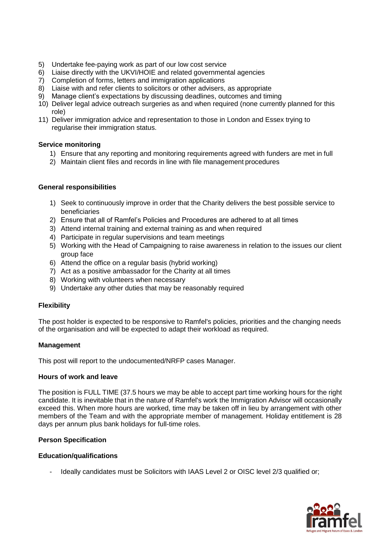- 5) Undertake fee-paying work as part of our low cost service
- 6) Liaise directly with the UKVI/HOIE and related governmental agencies
- 7) Completion of forms, letters and immigration applications
- 8) Liaise with and refer clients to solicitors or other advisers, as appropriate
- 9) Manage client's expectations by discussing deadlines, outcomes and timing
- 10) Deliver legal advice outreach surgeries as and when required (none currently planned for this role)
- 11) Deliver immigration advice and representation to those in London and Essex trying to regularise their immigration status.

### **Service monitoring**

- 1) Ensure that any reporting and monitoring requirements agreed with funders are met in full
- 2) Maintain client files and records in line with file management procedures

### **General responsibilities**

- 1) Seek to continuously improve in order that the Charity delivers the best possible service to beneficiaries
- 2) Ensure that all of Ramfel's Policies and Procedures are adhered to at all times
- 3) Attend internal training and external training as and when required
- 4) Participate in regular supervisions and team meetings
- 5) Working with the Head of Campaigning to raise awareness in relation to the issues our client group face
- 6) Attend the office on a regular basis (hybrid working)
- 7) Act as a positive ambassador for the Charity at all times
- 8) Working with volunteers when necessary
- 9) Undertake any other duties that may be reasonably required

#### **Flexibility**

The post holder is expected to be responsive to Ramfel's policies, priorities and the changing needs of the organisation and will be expected to adapt their workload as required.

#### **Management**

This post will report to the undocumented/NRFP cases Manager.

#### **Hours of work and leave**

The position is FULL TIME (37.5 hours we may be able to accept part time working hours for the right candidate. It is inevitable that in the nature of Ramfel's work the Immigration Advisor will occasionally exceed this. When more hours are worked, time may be taken off in lieu by arrangement with other members of the Team and with the appropriate member of management. Holiday entitlement is 28 days per annum plus bank holidays for full-time roles.

# **Person Specification**

#### **Education/qualifications**

Ideally candidates must be Solicitors with IAAS Level 2 or OISC level 2/3 qualified or;